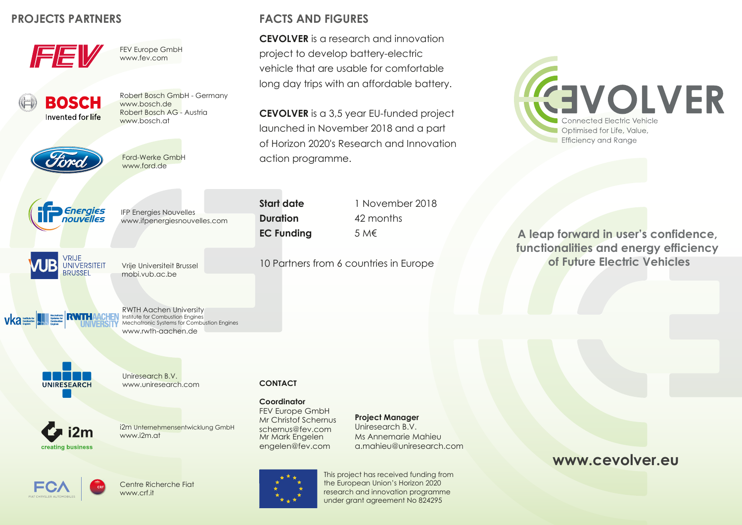### **PROJECTS PARTNERS**



FEV Europe GmbH www.fev.com



Robert Bosch GmbH - Germany www.bosch.de Robert Bosch AG - Austria www.bosch.at



Ford-Werke GmbH www.ford.de



IFP Energies Nouvelles www.ifpenergiesnouvelles.com

VRIJE **UNIVERSITEIT BRUSSEL** 

Vrije Universiteit Brussel mobi.vub.ac.be



RWTH Aachen University Institute for Combustion Engines Mechatronic Systems for Combustion Engines www.rwth-aachen.de



Uniresearch B.V.



www.uniresearch.com



# i2m Unternehmensentwicklung GmbH



Centre Richerche Fiat www.crf.it

## **FACTS AND FIGURES**

**CEVOLVER** is a research and innovation project to develop battery-electric vehicle that are usable for comfortable long day trips with an affordable battery.

**CEVOLVER** is a 3,5 year EU-funded project launched in November 2018 and a part of Horizon 2020's Research and Innovation action programme.

**Start date** 1 November 2018 **Duration** 42 months **EC Funding** 5 M€

10 Partners from 6 countries in Europe

**CEVOLVER** Connected Electric Vehicle Optimised for Life, Value, **Efficiency and Range** 

**A leap forward in user's confidence, functionalities and energy efficiency of Future Electric Vehicles**

**CONTACT**

#### **Coordinator**

Mr Mark Engelen engelen@fev.com FEV Europe GmbH Mr Christof Schernus schernus@fev.com

### **Project Manager**

Uniresearch B.V. Ms Annemarie Mahieu a.mahieu@uniresearch.com



This project has received funding from the European Union's Horizon 2020 research and innovation programme under grant agreement No 824295

### **www.cevolver.eu**